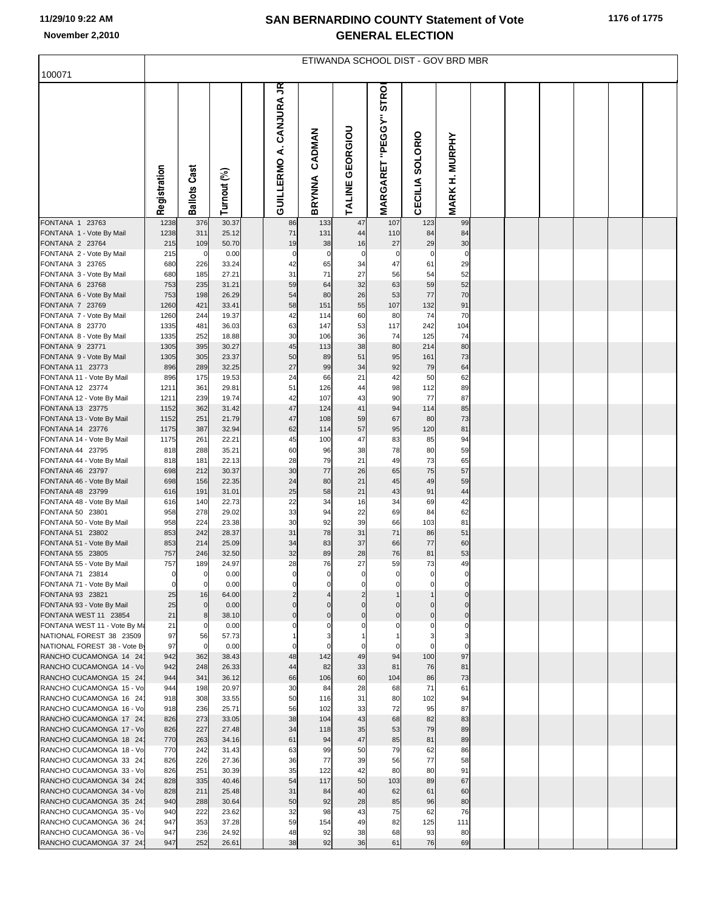## **SAN BERNARDINO COUNTY Statement of Vote November 2,2010 GENERAL ELECTION**

| 100071                                                | ETIWANDA SCHOOL DIST - GOV BRD MBR |                     |                |  |                                       |                  |                    |                                 |                 |                       |  |  |  |  |
|-------------------------------------------------------|------------------------------------|---------------------|----------------|--|---------------------------------------|------------------|--------------------|---------------------------------|-----------------|-----------------------|--|--|--|--|
|                                                       |                                    |                     |                |  |                                       |                  |                    |                                 |                 |                       |  |  |  |  |
|                                                       | Registration                       | <b>Ballots Cast</b> | Turnout (%)    |  | ξ<br>CANJURA<br>خ<br><b>GUILLERMO</b> | CADMAN<br>BRYNNA | GEORGIOU<br>TALINE | "PEGGY" STRO<br><b>MARGARET</b> | CECILIA SOLORIO | <b>MARK H. MURPHY</b> |  |  |  |  |
| FONTANA 1 23763<br>FONTANA 1 - Vote By Mail           | 1238<br>1238                       | 376<br>311          | 30.37<br>25.12 |  | 86<br>71                              | 133<br>131       | 47<br>44           | 107<br>110                      | 123<br>84       | 99<br>84              |  |  |  |  |
| FONTANA 2 23764                                       | 215                                | 109                 | 50.70          |  | 19                                    | 38               | 16                 | 27                              | 29              | 30                    |  |  |  |  |
| FONTANA 2 - Vote By Mail                              | 215                                | $\mathbf 0$         | 0.00           |  | $\mathbf 0$                           | $\mathbf 0$      | $\mathbf 0$        | $\mathbf 0$                     | $\mathbf 0$     | $\mathbf 0$           |  |  |  |  |
| FONTANA 3 23765<br>FONTANA 3 - Vote By Mail           | 680<br>680                         | 226<br>185          | 33.24<br>27.21 |  | 42<br>31                              | 65<br>71         | 34<br>27           | 47<br>56                        | 61<br>54        | 29<br>52              |  |  |  |  |
| FONTANA 6 23768                                       | 753                                | 235                 | 31.21          |  | 59                                    | 64               | 32                 | 63                              | 59              | 52                    |  |  |  |  |
| FONTANA 6 - Vote By Mail                              | 753                                | 198                 | 26.29          |  | 54                                    | 80               | 26                 | 53                              | 77              | 70                    |  |  |  |  |
| FONTANA 7 23769<br>FONTANA 7 - Vote By Mail           | 1260<br>1260                       | 421<br>244          | 33.41<br>19.37 |  | 58<br>42                              | 151<br>114       | 55<br>60           | 107<br>80                       | 132<br>74       | 91<br>70              |  |  |  |  |
| FONTANA 8 23770                                       | 1335                               | 481                 | 36.03          |  | 63                                    | 147              | 53                 | 117                             | 242             | 104                   |  |  |  |  |
| FONTANA 8 - Vote By Mail                              | 1335                               | 252                 | 18.88          |  | 30                                    | 106              | 36                 | 74                              | 125             | 74                    |  |  |  |  |
| FONTANA 9 23771                                       | 1305                               | 395                 | 30.27          |  | 45                                    | 113              | 38                 | 80                              | 214             | 80                    |  |  |  |  |
| FONTANA 9 - Vote By Mail<br>FONTANA 11 23773          | 1305<br>896                        | 305<br>289          | 23.37<br>32.25 |  | 50<br>27                              | 89<br>99         | 51<br>34           | 95<br>92                        | 161<br>79       | 73<br>64              |  |  |  |  |
| FONTANA 11 - Vote By Mail                             | 896                                | 175                 | 19.53          |  | 24                                    | 66               | 21                 | 42                              | 50              | 62                    |  |  |  |  |
| FONTANA 12 23774                                      | 1211                               | 361                 | 29.81          |  | 51                                    | 126              | 44                 | 98                              | 112             | 89                    |  |  |  |  |
| FONTANA 12 - Vote By Mail<br>FONTANA 13 23775         | 1211<br>1152                       | 239<br>362          | 19.74<br>31.42 |  | 42<br>47                              | 107<br>124       | 43<br>41           | 90<br>94                        | 77<br>114       | 87<br>85              |  |  |  |  |
| FONTANA 13 - Vote By Mail                             | 1152                               | 251                 | 21.79          |  | 47                                    | 108              | 59                 | 67                              | 80              | 73                    |  |  |  |  |
| FONTANA 14 23776                                      | 1175                               | 387                 | 32.94          |  | 62                                    | 114              | 57                 | 95                              | 120             | 81                    |  |  |  |  |
| FONTANA 14 - Vote By Mail<br>FONTANA 44 23795         | 1175<br>818                        | 261<br>288          | 22.21<br>35.21 |  | 45<br>60                              | 100<br>96        | 47<br>38           | 83<br>78                        | 85<br>80        | 94<br>59              |  |  |  |  |
| FONTANA 44 - Vote By Mail                             | 818                                | 181                 | 22.13          |  | 28                                    | 79               | 21                 | 49                              | 73              | 65                    |  |  |  |  |
| FONTANA 46 23797                                      | 698                                | 212                 | 30.37          |  | 30                                    | 77               | 26                 | 65                              | 75              | 57                    |  |  |  |  |
| FONTANA 46 - Vote By Mail                             | 698                                | 156                 | 22.35          |  | 24                                    | 80               | 21                 | 45                              | 49              | 59                    |  |  |  |  |
| FONTANA 48 23799<br>FONTANA 48 - Vote By Mail         | 616<br>616                         | 191<br>140          | 31.01<br>22.73 |  | 25<br>22                              | 58<br>34         | 21<br>16           | 43<br>34                        | 91<br>69        | 44<br>42              |  |  |  |  |
| FONTANA 50 23801                                      | 958                                | 278                 | 29.02          |  | 33                                    | 94               | 22                 | 69                              | 84              | 62                    |  |  |  |  |
| FONTANA 50 - Vote By Mail                             | 958                                | 224                 | 23.38          |  | 30                                    | 92               | 39                 | 66                              | 103             | 81                    |  |  |  |  |
| FONTANA 51 23802<br>FONTANA 51 - Vote By Mail         | 853<br>853                         | 242<br>214          | 28.37<br>25.09 |  | 31<br>34                              | 78<br>83         | 31<br>37           | 71<br>66                        | 86<br>77        | 51<br>60              |  |  |  |  |
| FONTANA 55 23805                                      | 757                                | 246                 | 32.50          |  | 32                                    | 89               | 28                 | 76                              | 81              | 53                    |  |  |  |  |
| FONTANA 55 - Vote By Mail                             | 757                                | 189                 | 24.97          |  | 28                                    | 76               | 27                 | 59                              | 73              | 49                    |  |  |  |  |
| FONTANA 71 23814<br>FONTANA 71 - Vote By Mail         | $\mathbf 0$                        | 0                   | 0.00<br>0.00   |  | 0                                     |                  | C                  | $\Omega$                        | 0               |                       |  |  |  |  |
| FONTANA 93 23821                                      | 25                                 | 16                  | 64.00          |  | $\overline{2}$                        |                  | $\overline{2}$     |                                 |                 | $\mathbf 0$           |  |  |  |  |
| FONTANA 93 - Vote By Mail                             | 25                                 | $\mathbf 0$         | 0.00           |  | $\Omega$                              |                  | $\Omega$           | $\Omega$                        | $\overline{0}$  | $\mathbf 0$           |  |  |  |  |
| FONTANA WEST 11 23854<br>FONTANA WEST 11 - Vote By Ma | 21<br>21                           | 8<br>0              | 38.10<br>0.00  |  | $\mathbf 0$                           | $\mathbf 0$      | $\Omega$           | $\mathbf 0$                     | $\Omega$        | $\mathbf 0$           |  |  |  |  |
| NATIONAL FOREST 38 23509                              | 97                                 | 56                  | 57.73          |  |                                       |                  |                    |                                 |                 |                       |  |  |  |  |
| NATIONAL FOREST 38 - Vote By                          | 97                                 | 0                   | 0.00           |  | $\Omega$                              |                  | C                  | $\Omega$                        | $\Omega$        | $\Omega$              |  |  |  |  |
| RANCHO CUCAMONGA 14 24                                | 942                                | 362                 | 38.43          |  | 48                                    | 142              | 49                 | 94                              | 100<br>76       | 97                    |  |  |  |  |
| RANCHO CUCAMONGA 14 - Vo<br>RANCHO CUCAMONGA 15 24    | 942<br>944                         | 248<br>341          | 26.33<br>36.12 |  | 44<br>66                              | 82<br>106        | 33<br>60           | 81<br>104                       | 86              | 81<br>73              |  |  |  |  |
| RANCHO CUCAMONGA 15 - Vo                              | 944                                | 198                 | 20.97          |  | 30                                    | 84               | 28                 | 68                              | 71              | 61                    |  |  |  |  |
| RANCHO CUCAMONGA 16 24                                | 918                                | 308                 | 33.55          |  | 50                                    | 116              | 31                 | 80                              | 102             | 94                    |  |  |  |  |
| RANCHO CUCAMONGA 16 - Vo<br>RANCHO CUCAMONGA 17 24    | 918<br>826                         | 236<br>273          | 25.71<br>33.05 |  | 56<br>38                              | 102<br>104       | 33<br>43           | 72<br>68                        | 95<br>82        | 87<br>83              |  |  |  |  |
| RANCHO CUCAMONGA 17 - Vo                              | 826                                | 227                 | 27.48          |  | 34                                    | 118              | 35                 | 53                              | 79              | 89                    |  |  |  |  |
| RANCHO CUCAMONGA 18 24                                | 770                                | 263                 | 34.16          |  | 61                                    | 94               | 47                 | 85                              | 81              | 89                    |  |  |  |  |
| RANCHO CUCAMONGA 18 - Vo<br>RANCHO CUCAMONGA 33 24    | 770<br>826                         | 242<br>226          | 31.43<br>27.36 |  | 63<br>36                              | 99<br>77         | 50<br>39           | 79<br>56                        | 62<br>77        | 86<br>58              |  |  |  |  |
| RANCHO CUCAMONGA 33 - Vo                              | 826                                | 251                 | 30.39          |  | 35                                    | 122              | 42                 | 80                              | 80              | 91                    |  |  |  |  |
| RANCHO CUCAMONGA 34 24                                | 828                                | 335                 | 40.46          |  | 54                                    | 117              | 50                 | 103                             | 89              | 67                    |  |  |  |  |
| RANCHO CUCAMONGA 34 - Vo<br>RANCHO CUCAMONGA 35 24    | 828<br>940                         | 211<br>288          | 25.48<br>30.64 |  | 31<br>50                              | 84<br>92         | 40<br>28           | 62<br>85                        | 61<br>96        | 60<br>80              |  |  |  |  |
| RANCHO CUCAMONGA 35 - Vo                              | 940                                | 222                 | 23.62          |  | 32                                    | 98               | 43                 | 75                              | 62              | 76                    |  |  |  |  |
| RANCHO CUCAMONGA 36 24                                | 947                                | 353                 | 37.28          |  | 59                                    | 154              | 49                 | 82                              | 125             | 111                   |  |  |  |  |
| RANCHO CUCAMONGA 36 - Vo                              | 947                                | 236                 | 24.92          |  | 48                                    | 92               | 38                 | 68                              | 93              | 80                    |  |  |  |  |
| RANCHO CUCAMONGA 37 24                                | 947                                | 252                 | 26.61          |  | 38                                    | 92               | 36                 | 61                              | 76              | 69                    |  |  |  |  |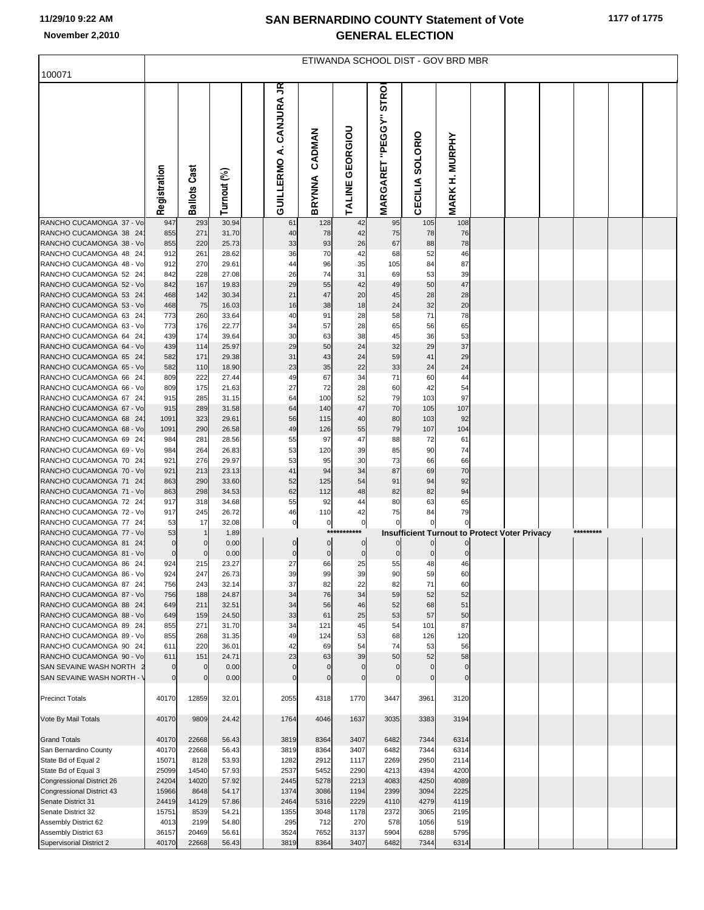## **SAN BERNARDINO COUNTY Statement of Vote November 2,2010 GENERAL ELECTION**

| 100071                                                 | ETIWANDA SCHOOL DIST - GOV BRD MBR |                     |                |  |                               |                     |                                 |                                         |                     |                       |  |                                                      |           |  |
|--------------------------------------------------------|------------------------------------|---------------------|----------------|--|-------------------------------|---------------------|---------------------------------|-----------------------------------------|---------------------|-----------------------|--|------------------------------------------------------|-----------|--|
|                                                        |                                    |                     |                |  |                               |                     |                                 |                                         |                     |                       |  |                                                      |           |  |
|                                                        | Registration                       | <b>Ballots Cast</b> | Turnout (%)    |  | πŚ<br>A. CANJURA<br>GUILLERMO | CADMAN<br>BRYNNA    | GEORGIOU<br>TALINE <sup>(</sup> | <b>STROI</b><br><b>MARGARET "PEGGY"</b> | CECILIA SOLORIO     | <b>MARK H. MURPHY</b> |  |                                                      |           |  |
| RANCHO CUCAMONGA 37 - Vo                               | 947                                | 293                 | 30.94          |  | 61                            | 128                 | 42                              | 95                                      | 105                 | 108                   |  |                                                      |           |  |
| RANCHO CUCAMONGA 38 24                                 | 855                                | 271                 | 31.70          |  | 40                            | 78                  | 42                              | 75                                      | 78                  | 76                    |  |                                                      |           |  |
| RANCHO CUCAMONGA 38 - Vo<br>RANCHO CUCAMONGA 48 24     | 855<br>912                         | 220<br>261          | 25.73<br>28.62 |  | 33<br>36                      | 93<br>70            | 26<br>42                        | 67<br>68                                | 88                  | 78<br>46              |  |                                                      |           |  |
| RANCHO CUCAMONGA 48 - Vo                               | 912                                | 270                 | 29.61          |  | 44                            | 96                  | 35                              | 105                                     | 52<br>84            | 87                    |  |                                                      |           |  |
| RANCHO CUCAMONGA 52 24                                 | 842                                | 228                 | 27.08          |  | 26                            | 74                  | 31                              | 69                                      | 53                  | 39                    |  |                                                      |           |  |
| RANCHO CUCAMONGA 52 - Vo                               | 842                                | 167                 | 19.83          |  | 29                            | 55                  | 42                              | 49                                      | 50                  | 47                    |  |                                                      |           |  |
| RANCHO CUCAMONGA 53 24                                 | 468                                | 142                 | 30.34          |  | 21                            | 47                  | 20                              | 45                                      | 28                  | 28                    |  |                                                      |           |  |
| RANCHO CUCAMONGA 53 - Vo                               | 468                                | 75                  | 16.03          |  | 16                            | 38                  | 18                              | 24                                      | 32                  | 20                    |  |                                                      |           |  |
| RANCHO CUCAMONGA 63 24<br>RANCHO CUCAMONGA 63 - Vo     | 773<br>773                         | 260<br>176          | 33.64<br>22.77 |  | 40<br>34                      | 91<br>57            | 28<br>28                        | 58<br>65                                | 71<br>56            | 78<br>65              |  |                                                      |           |  |
| RANCHO CUCAMONGA 64 24                                 | 439                                | 174                 | 39.64          |  | 30                            | 63                  | 38                              | 45                                      | 36                  | 53                    |  |                                                      |           |  |
| RANCHO CUCAMONGA 64 - Vo                               | 439                                | 114                 | 25.97          |  | 29                            | 50                  | 24                              | 32                                      | 29                  | 37                    |  |                                                      |           |  |
| RANCHO CUCAMONGA 65 24                                 | 582                                | 171                 | 29.38          |  | 31                            | 43                  | 24                              | 59                                      | 41                  | 29                    |  |                                                      |           |  |
| RANCHO CUCAMONGA 65 - Vo                               | 582                                | 110                 | 18.90          |  | 23                            | 35                  | 22                              | 33                                      | 24                  | 24                    |  |                                                      |           |  |
| RANCHO CUCAMONGA 66 24                                 | 809                                | 222                 | 27.44          |  | 49                            | 67                  | 34                              | 71                                      | 60                  | 44                    |  |                                                      |           |  |
| RANCHO CUCAMONGA 66 - Vo<br>RANCHO CUCAMONGA 67 24     | 809<br>915                         | 175<br>285          | 21.63<br>31.15 |  | 27<br>64                      | 72<br>100           | 28<br>52                        | 60<br>79                                | 42<br>103           | 54<br>97              |  |                                                      |           |  |
| RANCHO CUCAMONGA 67 - Vo                               | 915                                | 289                 | 31.58          |  | 64                            | 140                 | 47                              | 70                                      | 105                 | 107                   |  |                                                      |           |  |
| RANCHO CUCAMONGA 68 24                                 | 1091                               | 323                 | 29.61          |  | 56                            | 115                 | 40                              | 80                                      | 103                 | 92                    |  |                                                      |           |  |
| RANCHO CUCAMONGA 68 - Vo                               | 1091                               | 290                 | 26.58          |  | 49                            | 126                 | 55                              | 79                                      | 107                 | 104                   |  |                                                      |           |  |
| RANCHO CUCAMONGA 69 24                                 | 984                                | 281                 | 28.56          |  | 55                            | 97                  | 47<br>39                        | 88                                      | 72                  | 61                    |  |                                                      |           |  |
| RANCHO CUCAMONGA 69 - Vo<br>RANCHO CUCAMONGA 70 24     | 984<br>921                         | 264<br>276          | 26.83<br>29.97 |  | 53<br>53                      | 120<br>95           | 30                              | 85<br>73                                | 90<br>66            | 74<br>66              |  |                                                      |           |  |
| RANCHO CUCAMONGA 70 - Vo                               | 921                                | 213                 | 23.13          |  | 41                            | 94                  | 34                              | 87                                      | 69                  | 70                    |  |                                                      |           |  |
| RANCHO CUCAMONGA 71 24                                 | 863                                | 290                 | 33.60          |  | 52                            | 125                 | 54                              | 91                                      | 94                  | 92                    |  |                                                      |           |  |
| RANCHO CUCAMONGA 71 - Vo                               | 863                                | 298                 | 34.53          |  | 62                            | 112                 | 48                              | 82                                      | 82                  | 94                    |  |                                                      |           |  |
| RANCHO CUCAMONGA 72 24<br>RANCHO CUCAMONGA 72 - Vo     | 917<br>917                         | 318                 | 34.68<br>26.72 |  | 55<br>46                      | 92<br>110           | 44<br>42                        | 80<br>75                                | 63<br>84            | 65<br>79              |  |                                                      |           |  |
| RANCHO CUCAMONGA 77 24                                 | 53                                 | 245<br>17           | 32.08          |  | $\pmb{0}$                     | $\pmb{0}$           | $\overline{0}$                  |                                         |                     | $\Omega$              |  |                                                      |           |  |
| RANCHO CUCAMONGA 77 - Vo                               | 53                                 |                     | 1.89           |  |                               | ***                 |                                 |                                         |                     |                       |  | <b>Insufficient Turnout to Protect Voter Privacy</b> | ********* |  |
| RANCHO CUCAMONGA 81 24                                 | $\mathbf 0$                        |                     | 0.00           |  | $\pmb{0}$                     | $\pmb{0}$           | $\overline{0}$                  |                                         |                     |                       |  |                                                      |           |  |
| RANCHO CUCAMONGA 81 - Vo                               | $\mathbf 0$                        |                     | 0.00           |  | $\mathbf 0$                   | $\pmb{0}$           | $\pmb{0}$                       | $\mathbf 0$                             | $\mathbf 0$         | 0                     |  |                                                      |           |  |
| RANCHO CUCAMONGA 86 24<br>RANCHO CUCAMONGA 86 - Vo     | 924<br>924                         | 215<br>247          | 23.27<br>26.73 |  | 27<br>39                      | 66<br>99            | 25<br>39                        | 55<br>90                                | 48<br>59            | 46<br>60              |  |                                                      |           |  |
| RANCHO CUCAMONGA 87 24                                 | 756                                | 243                 | 32.14          |  | 37                            | 82                  | 22                              | 82                                      | 71                  | 60                    |  |                                                      |           |  |
| RANCHO CUCAMONGA 87 - Vo                               | 756                                | 188                 | 24.87          |  | 34                            | 76                  | 34                              | 59                                      | 52                  | 52                    |  |                                                      |           |  |
| RANCHO CUCAMONGA 88 24                                 | 649                                | 211                 | 32.51          |  | 34                            | 56                  | 46                              | 52                                      | 68                  | 51                    |  |                                                      |           |  |
| RANCHO CUCAMONGA 88 - Vo                               | 649                                | 159                 | 24.50          |  | 33                            | 61                  | 25                              | 53                                      | 57                  | 50                    |  |                                                      |           |  |
| RANCHO CUCAMONGA 89 24<br>RANCHO CUCAMONGA 89 - Vo     | 855<br>855                         | 271<br>268          | 31.70<br>31.35 |  | 34<br>49                      | 121<br>124          | 45<br>53                        | 54<br>68                                | 101<br>126          | 87<br>120             |  |                                                      |           |  |
| RANCHO CUCAMONGA 90 24                                 | 611                                | 220                 | 36.01          |  | 42                            | 69                  | 54                              | 74                                      | 53                  | 56                    |  |                                                      |           |  |
| RANCHO CUCAMONGA 90 - Vo                               | 611                                | 151                 | 24.71          |  | 23                            | 63                  | 39                              | 50                                      | 52                  | 58                    |  |                                                      |           |  |
| SAN SEVAINE WASH NORTH 2                               | $\mathbf 0$                        | $\mathbf 0$         | 0.00           |  | $\mathbf 0$                   | $\mathbf 0$         | $\mathbf 0$                     | $\mathbf 0$                             | $\mathbf 0$         | $\mathbf 0$           |  |                                                      |           |  |
| SAN SEVAINE WASH NORTH - \<br><b>Precinct Totals</b>   | $\mathbf 0$<br>40170               | $\Omega$<br>12859   | 0.00<br>32.01  |  | $\mathbf 0$<br>2055           | $\mathbf 0$<br>4318 | $\mathbf 0$<br>1770             | $\mathbf 0$<br>3447                     | $\mathbf 0$<br>3961 | $\mathbf 0$<br>3120   |  |                                                      |           |  |
| Vote By Mail Totals                                    | 40170                              | 9809                | 24.42          |  | 1764                          | 4046                | 1637                            | 3035                                    | 3383                | 3194                  |  |                                                      |           |  |
| <b>Grand Totals</b>                                    | 40170                              | 22668               | 56.43          |  | 3819                          | 8364                | 3407                            | 6482                                    | 7344                | 6314                  |  |                                                      |           |  |
| San Bernardino County                                  | 40170                              | 22668               | 56.43          |  | 3819                          | 8364                | 3407                            | 6482                                    | 7344                | 6314                  |  |                                                      |           |  |
| State Bd of Equal 2                                    | 15071                              | 8128                | 53.93          |  | 1282                          | 2912                | 1117                            | 2269                                    | 2950                | 2114                  |  |                                                      |           |  |
| State Bd of Equal 3                                    | 25099                              | 14540               | 57.93          |  | 2537                          | 5452                | 2290                            | 4213                                    | 4394                | 4200                  |  |                                                      |           |  |
| Congressional District 26<br>Congressional District 43 | 24204<br>15966                     | 14020<br>8648       | 57.92<br>54.17 |  | 2445<br>1374                  | 5278<br>3086        | 2213<br>1194                    | 4083<br>2399                            | 4250<br>3094        | 4089<br>2225          |  |                                                      |           |  |
| Senate District 31                                     | 24419                              | 14129               | 57.86          |  | 2464                          | 5316                | 2229                            | 4110                                    | 4279                | 4119                  |  |                                                      |           |  |
| Senate District 32                                     | 15751                              | 8539                | 54.21          |  | 1355                          | 3048                | 1178                            | 2372                                    | 3065                | 2195                  |  |                                                      |           |  |
| Assembly District 62                                   | 4013                               | 2199                | 54.80          |  | 295                           | 712                 | 270                             | 578                                     | 1056                | 519                   |  |                                                      |           |  |
| Assembly District 63                                   | 36157                              | 20469               | 56.61          |  | 3524                          | 7652                | 3137                            | 5904                                    | 6288                | 5795                  |  |                                                      |           |  |
| Supervisorial District 2                               | 40170                              | 22668               | 56.43          |  | 3819                          | 8364                | 3407                            | 6482                                    | 7344                | 6314                  |  |                                                      |           |  |